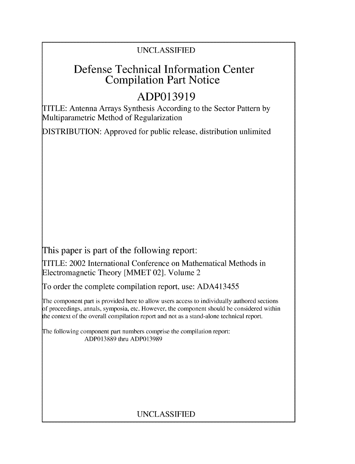### UNCLASSIFIED

## Defense Technical Information Center Compilation Part Notice

# **ADP013919**

TITLE: Antenna Arrays Synthesis According to the Sector Pattern by Multiparametric Method of Regularization

DISTRIBUTION: Approved for public release, distribution unlimited

This paper is part of the following report:

TITLE: 2002 International Conference on Mathematical Methods in Electromagnetic Theory [MMET 02]. Volume 2

To order the complete compilation report, use: ADA413455

The component part is provided here to allow users access to individually authored sections f proceedings, annals, symposia, etc. However, the component should be considered within the context of the overall compilation report and not as a stand-alone technical report.

The following component part numbers comprise the compilation report: ADP013889 thru ADP013989

## UNCLASSIFIED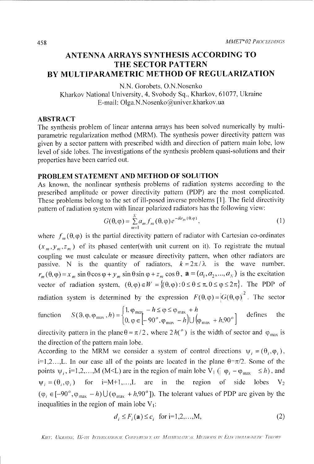### **ANTENNA** ARRAYS **SYNTHESIS ACCORDING** TO THE SECTOR PATTERN BY MULTIPARAMETRIC METHOD OF REGULARIZATION

N.N. Gorobets, O.N.Nosenko

Kharkov National University, 4. Svobody Sq., Kharkov, 61077, Ukraine E-mail: Olga.N.Nosenko@univer.kharkov.ua

#### ABSTRACT

The synthesis problem of linear antenna arrays has been solved numerically by multiparametric regularization method (MRM). The synthesis power directivity pattern was given by a sector pattern with prescribed width and direction of pattern main lobe, low level of side lobes. The investigations of the synthesis problem quasi-solutions and their properties have been carried out.

#### PROBLEM **STATEMENT AND** METHOD OF **SOLUTION**

As known, the nonlinear synthesis problems of radiation systems according to the prescribed amplitude or power directivity pattern (PDP) are the most complicated. These problems belong to the set of ill-posed inverse problems [1]. The field directivity pattern of radiation system with linear polarized radiators has the following view:

$$
G(\theta,\varphi)=\sum_{m=1}^N a_m f_m(\theta,\varphi) e^{-ikr_m(\theta,\varphi)}, \qquad (1)
$$

where  $f_m(\theta, \varphi)$  is the partial directivity pattern of radiator with Cartesian co-ordinates  $(x_m, y_m, z_m)$  of its phased center(with unit current on it). To registrate the mutual coupling we must calculate or measure directivity pattern, when other radiators are passive. N is the quantity of radiators,  $k = 2\pi/\lambda$  is the wave number,  $r_m(\theta, \varphi) = x_m \sin \theta \cos \varphi + y_m \sin \theta \sin \varphi + z_m \cos \theta$ ,  $\mathbf{a} = (a_1, a_2, ..., a_N)$  is the excitation vector of radiation system,  $(\theta, \varphi) \in W = \{(\theta, \varphi): 0 \le \theta \le \pi, 0 \le \varphi \le 2\pi\}$ . The PDP of radiation system is determined by the expression  $F(\theta, \varphi) = |G(\theta, \varphi)|^2$ . The sector

function 
$$
S(\vartheta, \varphi_{\text{max}}, h) = \begin{cases} 1, \varphi_{\text{max}} - h \le \varphi \le \varphi_{\text{max}} + h \\ 0, \varphi \in [-90^\circ, \varphi_{\text{max}} - h] \cup (\varphi_{\text{max}} + h, 90^\circ] \end{cases}
$$
 defines the

directivity pattern in the plane  $\theta = \pi/2$ , where  $2 h(^o)$  is the width of sector and  $\varphi_{\text{max}}$  is the direction of the pattern main lobe.

According to the MRM we consider a system of control directions  $\psi_i = (\theta_i, \varphi_i)$ , i=1,2..., L. In our case all of the points are located in the plane  $\theta = \pi/2$ . Some of the points  $\psi_i$ , i=1,2,...,M (M<L) are in the region of main lobe V<sub>1</sub> ( $\phi_i - \phi_{max} \le h$ ), and  $\psi_i = (\theta_i, \varphi_i)$  for i=M+1,...,L are in the region of side lobes V<sub>2</sub>  $(\varphi_i \in [-90^\circ, \varphi_{max} - h) \cup (\varphi_{max} + h, 90^\circ])$ . The tolerant values of PDP are given by the inequalities in the region of main lobe  $V_1$ :

$$
d_i \le F_i(\mathbf{a}) \le c_i \quad \text{for } i = 1, 2, \dots, M,
$$
\n<sup>(2)</sup>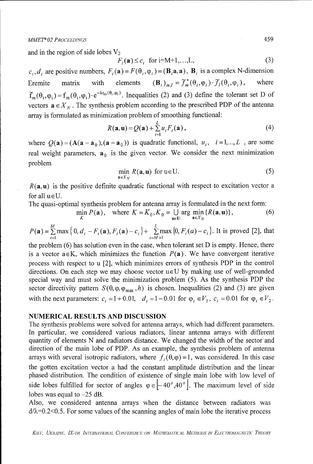and in the region of side lobes  $V_2$ 

$$
F_i(\mathbf{a}) \le c_i \quad \text{for } i = M+1, \dots, L,\tag{3}
$$

 $c_i$ ,  $d_i$  are positive numbers,  $F_i(\mathbf{a}) = F(\theta_i, \varphi_i) = (\mathbf{B}_i \mathbf{a}, \mathbf{a})$ ,  $\mathbf{B}_i$  is a complex N-dimension Eremite matrix with elements  $(\mathbf{B}_i)_{m,l} = \tilde{\mathcal{J}}_m^*(\theta_i,\varphi_i) \cdot \tilde{\mathcal{J}}_l(\theta_i,\varphi_i)$ , where  $\tilde{f}_m(\theta_i, \varphi_i) = f_m(\theta_i, \varphi_i) \cdot e^{-k r_m(\theta_i, \varphi_i)}$ . Inequalities (2) and (3) define the tolerant set D of vectors  $\mathbf{a} \in X_N$ . The synthesis problem according to the prescribed PDP of the antenna array is formulated as minimization problem of smoothing functional:

$$
R(\mathbf{a}, \mathbf{u}) = Q(\mathbf{a}) + \sum_{i=1}^{L} u_i F_i(\mathbf{a}), \qquad (4)
$$

where  $Q(\mathbf{a}) = (A(\mathbf{a} - \mathbf{a}_0), (\mathbf{a} - \mathbf{a}_0))$  is quadratic functional,  $u_i$ ,  $i = 1,...,L$ , are some real weight parameters,  $\mathbf{a}_0$  is the given vector. We consider the next minimization problem

$$
\min_{\mathbf{a}\in X_N} R(\mathbf{a}, \mathbf{u}) \text{ for } \mathbf{u} \in \mathbf{U}.\tag{5}
$$

 $R(a, u)$  is the positive definite quadratic functional with respect to excitation vector a for all  $u \in U$ .

The quasi-optimal synthesis problem for antenna array is formulated in the next form:

$$
\min_{K} P(\mathbf{a}), \quad \text{where } K = \overline{K}_0, K_0 = \bigcup_{\mathbf{u} \in U} \arg \min_{\mathbf{a} \in X_N} \{ R(\mathbf{a}, \mathbf{u}) \}, \tag{6}
$$

$$
P(\mathbf{a}) = \sum_{i=1}^{M} \max\left\{0, d_i - F_i(\mathbf{a}), F_i(\mathbf{a}) - c_i\right\} + \sum_{i=M+1}^{L} \max\left\{0, F_i(a) - c_i\right\}
$$
. It is proved [2], that

the problem  $(6)$  has solution even in the case, when tolerant set D is empty. Hence, there is a vector  $a \in K$ , which minimizes the function  $P(a)$ . We have convergent iterative process with respect to u [2], which minimizes errors of synthesis PDP in the control directions. On each step we may choose vector  $u \in U$  by making use of well-grounded special way and must solve the minimization problem (5). As the synthesis PDP the sector directivity pattern  $S(\theta, \varphi_{max}, h)$  is chosen. Inequalities (2) and (3) are given with the next parameters:  $c_i = 1 + 0.01$ ,  $d_i = 1 - 0.01$  for  $\varphi_i \in V_1$ ,  $c_i = 0.01$  for  $\varphi_i \in V_2$ .

#### **NUMERICAL RESULTS AND DISCUSSION**

The synthesis problems were solved for antenna arrays, which had different parameters. In particular, we considered various radiators, linear antenna arrays with different quantity of elements N and radiators distance. We changed the width of the sector and direction of the main lobe of PDP. As an example, the synthesis problem of antenna arrays with several isotropic radiators, where  $f_i(\theta, \varphi) = 1$ , was considered. In this case the gotten excitation vector a had the constant amplitude distribution and the linear phased distribution. The condition of existence of single main lobe with low level of side lobes fulfilled for sector of angles  $\varphi \in \left[-40^\circ, 40^\circ\right]$ . The maximum level of side lobes was equal to  $-25$  dB.

Also, we considered antenna arrays when the distance between radiators was  $d/\lambda$ =0.2<0.5. For some values of the scanning angles of main lobe the iterative process